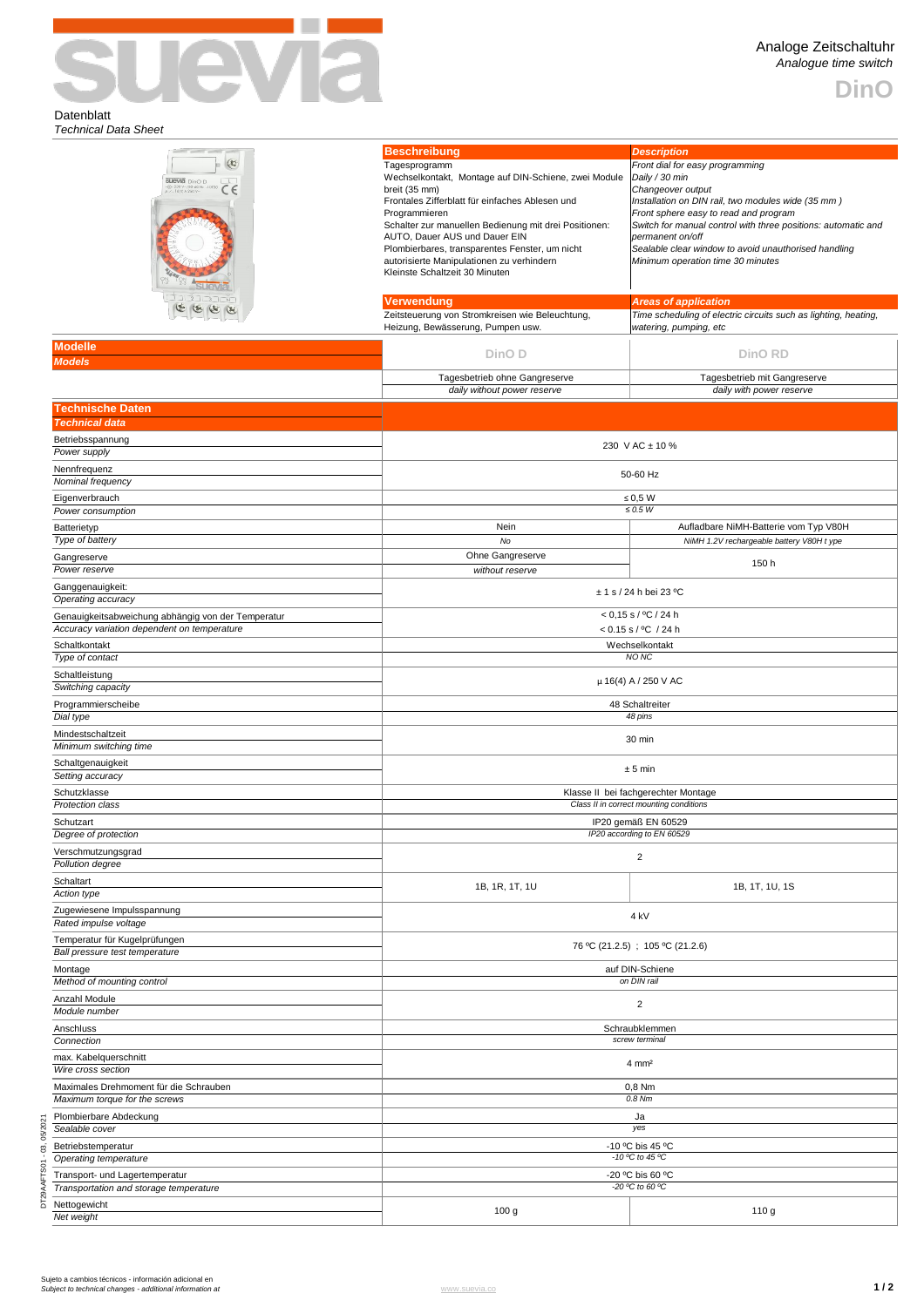

**DinO**

## Datenblatt *Technical Data Sheet*

| (x)<br><b>SUEVIA</b> DinO D<br>-@-230 V--/50-60 Hz -10T50<br># -Z_16(4) A 250 V--<br>L<br>C <sub>6</sub> | <b>Beschreibung</b><br>Tagesprogramm<br>Wechselkontakt, Montage auf DIN-Schiene, zwei Module<br>breit (35 mm)<br>Frontales Zifferblatt für einfaches Ablesen und<br>Programmieren<br>Schalter zur manuellen Bedienung mit drei Positionen:<br>AUTO, Dauer AUS und Dauer EIN<br>Plombierbares, transparentes Fenster, um nicht<br>autorisierte Manipulationen zu verhindern<br>Kleinste Schaltzeit 30 Minuten | <b>Description</b><br>Front dial for easy programming<br>Daily / 30 min<br>Changeover output<br>Installation on DIN rail, two modules wide (35 mm)<br>Front sphere easy to read and program<br>Switch for manual control with three positions: automatic and<br>permanent on/off<br>Sealable clear window to avoid unauthorised handling<br>Minimum operation time 30 minutes |  |  |
|----------------------------------------------------------------------------------------------------------|--------------------------------------------------------------------------------------------------------------------------------------------------------------------------------------------------------------------------------------------------------------------------------------------------------------------------------------------------------------------------------------------------------------|-------------------------------------------------------------------------------------------------------------------------------------------------------------------------------------------------------------------------------------------------------------------------------------------------------------------------------------------------------------------------------|--|--|
| 2737N                                                                                                    | <b>Verwendung</b>                                                                                                                                                                                                                                                                                                                                                                                            | <b>Areas of application</b>                                                                                                                                                                                                                                                                                                                                                   |  |  |
|                                                                                                          | Zeitsteuerung von Stromkreisen wie Beleuchtung,<br>Heizung, Bewässerung, Pumpen usw.                                                                                                                                                                                                                                                                                                                         | Time scheduling of electric circuits such as lighting, heating,<br>watering, pumping, etc                                                                                                                                                                                                                                                                                     |  |  |
| <b>Modelle</b>                                                                                           |                                                                                                                                                                                                                                                                                                                                                                                                              | <b>DinO RD</b>                                                                                                                                                                                                                                                                                                                                                                |  |  |
| <b>Models</b>                                                                                            | DinO <sub>D</sub>                                                                                                                                                                                                                                                                                                                                                                                            |                                                                                                                                                                                                                                                                                                                                                                               |  |  |
|                                                                                                          | Tagesbetrieb ohne Gangreserve<br>daily without power reserve                                                                                                                                                                                                                                                                                                                                                 | Tagesbetrieb mit Gangreserve<br>daily with power reserve                                                                                                                                                                                                                                                                                                                      |  |  |
| <b>Technische Daten</b><br><b>Technical data</b>                                                         |                                                                                                                                                                                                                                                                                                                                                                                                              |                                                                                                                                                                                                                                                                                                                                                                               |  |  |
| Betriebsspannung                                                                                         |                                                                                                                                                                                                                                                                                                                                                                                                              | 230 V AC ± 10 %                                                                                                                                                                                                                                                                                                                                                               |  |  |
| Power supply<br>Nennfrequenz                                                                             |                                                                                                                                                                                                                                                                                                                                                                                                              |                                                                                                                                                                                                                                                                                                                                                                               |  |  |
| Nominal frequency                                                                                        |                                                                                                                                                                                                                                                                                                                                                                                                              | 50-60 Hz                                                                                                                                                                                                                                                                                                                                                                      |  |  |
| Eigenverbrauch                                                                                           | $\leq 0.5$ W                                                                                                                                                                                                                                                                                                                                                                                                 |                                                                                                                                                                                                                                                                                                                                                                               |  |  |
| Power consumption                                                                                        | Nein                                                                                                                                                                                                                                                                                                                                                                                                         | $\leq 0.5~W$<br>Aufladbare NiMH-Batterie vom Typ V80H                                                                                                                                                                                                                                                                                                                         |  |  |
| Batterietyp<br>Type of battery                                                                           | No                                                                                                                                                                                                                                                                                                                                                                                                           | NiMH 1.2V rechargeable battery V80H t ype                                                                                                                                                                                                                                                                                                                                     |  |  |
| Gangreserve                                                                                              | Ohne Gangreserve                                                                                                                                                                                                                                                                                                                                                                                             |                                                                                                                                                                                                                                                                                                                                                                               |  |  |
| Power reserve                                                                                            | without reserve                                                                                                                                                                                                                                                                                                                                                                                              | 150 h                                                                                                                                                                                                                                                                                                                                                                         |  |  |
| Ganggenauigkeit:<br>Operating accuracy                                                                   | $± 1$ s / 24 h bei 23 °C                                                                                                                                                                                                                                                                                                                                                                                     |                                                                                                                                                                                                                                                                                                                                                                               |  |  |
| Genauigkeitsabweichung abhängig von der Temperatur<br>Accuracy variation dependent on temperature        | $< 0.15$ s / °C / 24 h<br>$< 0.15$ s / °C / 24 h                                                                                                                                                                                                                                                                                                                                                             |                                                                                                                                                                                                                                                                                                                                                                               |  |  |
| Schaltkontakt                                                                                            | Wechselkontakt                                                                                                                                                                                                                                                                                                                                                                                               |                                                                                                                                                                                                                                                                                                                                                                               |  |  |
| Type of contact                                                                                          | NO <sub>NC</sub>                                                                                                                                                                                                                                                                                                                                                                                             |                                                                                                                                                                                                                                                                                                                                                                               |  |  |
| Schaltleistung<br>Switching capacity                                                                     | μ 16(4) A / 250 V AC                                                                                                                                                                                                                                                                                                                                                                                         |                                                                                                                                                                                                                                                                                                                                                                               |  |  |
| Programmierscheibe<br>Dial type                                                                          | 48 Schaltreiter<br>48 pins                                                                                                                                                                                                                                                                                                                                                                                   |                                                                                                                                                                                                                                                                                                                                                                               |  |  |
| Mindestschaltzeit<br>Minimum switching time                                                              | 30 min                                                                                                                                                                                                                                                                                                                                                                                                       |                                                                                                                                                                                                                                                                                                                                                                               |  |  |
| Schaltgenauigkeit<br>Setting accuracy                                                                    | ± 5 min                                                                                                                                                                                                                                                                                                                                                                                                      |                                                                                                                                                                                                                                                                                                                                                                               |  |  |
| Schutzklasse<br>Protection class                                                                         | Klasse II bei fachgerechter Montage<br>Class II in correct mounting conditions                                                                                                                                                                                                                                                                                                                               |                                                                                                                                                                                                                                                                                                                                                                               |  |  |
| Schutzart<br>Degree of protection                                                                        | IP20 gemäß EN 60529<br>IP20 according to EN 60529                                                                                                                                                                                                                                                                                                                                                            |                                                                                                                                                                                                                                                                                                                                                                               |  |  |
| Verschmutzungsgrad                                                                                       | $\overline{c}$                                                                                                                                                                                                                                                                                                                                                                                               |                                                                                                                                                                                                                                                                                                                                                                               |  |  |
| Pollution degree<br>Schaltart                                                                            |                                                                                                                                                                                                                                                                                                                                                                                                              |                                                                                                                                                                                                                                                                                                                                                                               |  |  |
| Action type                                                                                              | 1B, 1R, 1T, 1U                                                                                                                                                                                                                                                                                                                                                                                               | 1B, 1T, 1U, 1S                                                                                                                                                                                                                                                                                                                                                                |  |  |
| Zugewiesene Impulsspannung<br>Rated impulse voltage                                                      | 4 kV                                                                                                                                                                                                                                                                                                                                                                                                         |                                                                                                                                                                                                                                                                                                                                                                               |  |  |
| Temperatur für Kugelprüfungen<br>Ball pressure test temperature                                          | 76 °C (21.2.5); 105 °C (21.2.6)                                                                                                                                                                                                                                                                                                                                                                              |                                                                                                                                                                                                                                                                                                                                                                               |  |  |
| Montage<br>Method of mounting control                                                                    |                                                                                                                                                                                                                                                                                                                                                                                                              | auf DIN-Schiene<br>on DIN rail                                                                                                                                                                                                                                                                                                                                                |  |  |
| Anzahl Module<br>Module number                                                                           | $\overline{2}$                                                                                                                                                                                                                                                                                                                                                                                               |                                                                                                                                                                                                                                                                                                                                                                               |  |  |
| Anschluss<br>Connection                                                                                  | Schraubklemmen<br>screw terminal                                                                                                                                                                                                                                                                                                                                                                             |                                                                                                                                                                                                                                                                                                                                                                               |  |  |
| max. Kabelquerschnitt<br>Wire cross section                                                              | $4 \, \text{mm}^2$                                                                                                                                                                                                                                                                                                                                                                                           |                                                                                                                                                                                                                                                                                                                                                                               |  |  |
| Maximales Drehmoment für die Schrauben<br>Maximum torque for the screws                                  | 0,8 Nm<br>0.8 Nm                                                                                                                                                                                                                                                                                                                                                                                             |                                                                                                                                                                                                                                                                                                                                                                               |  |  |
| Plombierbare Abdeckung<br>Sealable cover                                                                 | Ja<br>yes                                                                                                                                                                                                                                                                                                                                                                                                    |                                                                                                                                                                                                                                                                                                                                                                               |  |  |
| 03, 05/2021<br>Betriebstemperatur                                                                        |                                                                                                                                                                                                                                                                                                                                                                                                              | -10 °C bis 45 °C                                                                                                                                                                                                                                                                                                                                                              |  |  |
| Operating temperature<br>Transport- und Lagertemperatur                                                  | $-10$ °C to 45 °C<br>-20 °C bis 60 °C                                                                                                                                                                                                                                                                                                                                                                        |                                                                                                                                                                                                                                                                                                                                                                               |  |  |
| DT29AAFTS01<br>Transportation and storage temperature<br>Nettogewicht                                    | -20 °C to 60 °C                                                                                                                                                                                                                                                                                                                                                                                              |                                                                                                                                                                                                                                                                                                                                                                               |  |  |
| Net weight                                                                                               | 100 <sub>g</sub>                                                                                                                                                                                                                                                                                                                                                                                             | 110 g                                                                                                                                                                                                                                                                                                                                                                         |  |  |